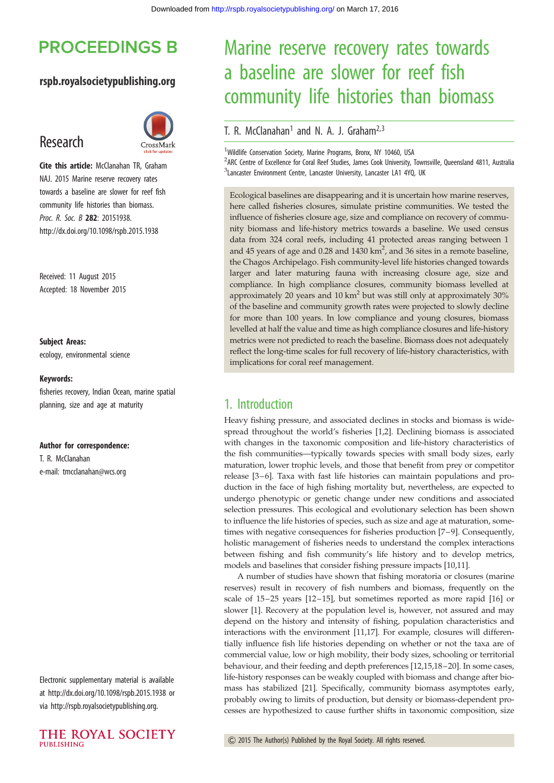## **PROCEEDINGS B**

## rspb.royalsocietypublishing.org

## Research



Cite this article: McClanahan TR, Graham NAJ. 2015 Marine reserve recovery rates towards a baseline are slower for reef fish community life histories than biomass. Proc. R. Soc. B 282: 20151938. http://dx.doi.org/10.1098/rspb.2015.1938

Received: 11 August 2015 Accepted: 18 November 2015

#### Subject Areas:

ecology, environmental science

#### Keywords:

fisheries recovery, Indian Ocean, marine spatial planning, size and age at maturity

#### Author for correspondence:

T. R. McClanahan e-mail: [tmcclanahan@wcs.org](mailto:tmcclanahan@wcs.org)

Electronic supplementary material is available at<http://dx.doi.org/10.1098/rspb.2015.1938> or via<http://rspb.royalsocietypublishing.org>.



# Marine reserve recovery rates towards a baseline are slower for reef fish community life histories than biomass

## T. R. McClanahan<sup>1</sup> and N. A. J. Graham<sup>2,3</sup>

<sup>1</sup>Wildlife Conservation Society, Marine Programs, Bronx, NY 10460, USA

2 ARC Centre of Excellence for Coral Reef Studies, James Cook University, Townsville, Queensland 4811, Australia <sup>3</sup>Lancaster Environment Centre, Lancaster University, Lancaster LA1 4YQ, UK

Ecological baselines are disappearing and it is uncertain how marine reserves, here called fisheries closures, simulate pristine communities. We tested the influence of fisheries closure age, size and compliance on recovery of community biomass and life-history metrics towards a baseline. We used census data from 324 coral reefs, including 41 protected areas ranging between 1 and 45 years of age and 0.28 and 1430  $km^2$ , and 36 sites in a remote baseline, the Chagos Archipelago. Fish community-level life histories changed towards larger and later maturing fauna with increasing closure age, size and compliance. In high compliance closures, community biomass levelled at approximately 20 years and 10  $km^2$  but was still only at approximately 30% of the baseline and community growth rates were projected to slowly decline for more than 100 years. In low compliance and young closures, biomass levelled at half the value and time as high compliance closures and life-history metrics were not predicted to reach the baseline. Biomass does not adequately reflect the long-time scales for full recovery of life-history characteristics, with implications for coral reef management.

## 1. Introduction

Heavy fishing pressure, and associated declines in stocks and biomass is widespread throughout the world's fisheries [\[1,2\]](#page-8-0). Declining biomass is associated with changes in the taxonomic composition and life-history characteristics of the fish communities—typically towards species with small body sizes, early maturation, lower trophic levels, and those that benefit from prey or competitor release [\[3](#page-8-0)–[6](#page-8-0)]. Taxa with fast life histories can maintain populations and production in the face of high fishing mortality but, nevertheless, are expected to undergo phenotypic or genetic change under new conditions and associated selection pressures. This ecological and evolutionary selection has been shown to influence the life histories of species, such as size and age at maturation, sometimes with negative consequences for fisheries production [\[7](#page-8-0)–[9](#page-8-0)]. Consequently, holistic management of fisheries needs to understand the complex interactions between fishing and fish community's life history and to develop metrics, models and baselines that consider fishing pressure impacts [\[10,11](#page-8-0)].

A number of studies have shown that fishing moratoria or closures (marine reserves) result in recovery of fish numbers and biomass, frequently on the scale of 15–25 years [\[12](#page-8-0)–[15](#page-8-0)], but sometimes reported as more rapid [[16\]](#page-8-0) or slower [[1](#page-8-0)]. Recovery at the population level is, however, not assured and may depend on the history and intensity of fishing, population characteristics and interactions with the environment [\[11,17](#page-8-0)]. For example, closures will differentially influence fish life histories depending on whether or not the taxa are of commercial value, low or high mobility, their body sizes, schooling or territorial behaviour, and their feeding and depth preferences [\[12,15,18](#page-8-0)–[20\]](#page-8-0). In some cases, life-history responses can be weakly coupled with biomass and change after biomass has stabilized [\[21](#page-8-0)]. Specifically, community biomass asymptotes early, probably owing to limits of production, but density or biomass-dependent processes are hypothesized to cause further shifts in taxonomic composition, size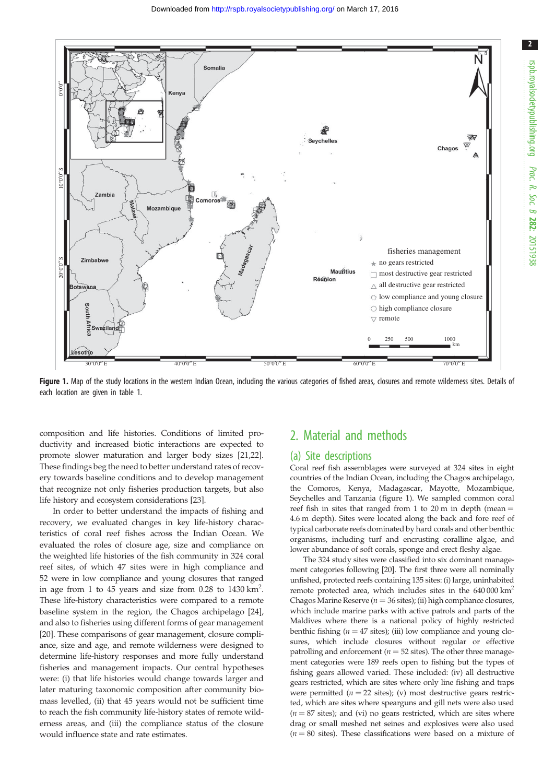

Figure 1. Map of the study locations in the western Indian Ocean, including the various categories of fished areas, closures and remote wilderness sites. Details of each location are given in [table 1.](#page-4-0)

composition and life histories. Conditions of limited productivity and increased biotic interactions are expected to promote slower maturation and larger body sizes [\[21,22](#page-8-0)]. These findings beg the need to better understand rates of recovery towards baseline conditions and to develop management that recognize not only fisheries production targets, but also life history and ecosystem considerations [\[23](#page-8-0)].

In order to better understand the impacts of fishing and recovery, we evaluated changes in key life-history characteristics of coral reef fishes across the Indian Ocean. We evaluated the roles of closure age, size and compliance on the weighted life histories of the fish community in 324 coral reef sites, of which 47 sites were in high compliance and 52 were in low compliance and young closures that ranged in age from 1 to 45 years and size from  $0.28$  to  $1430 \text{ km}^2$ . These life-history characteristics were compared to a remote baseline system in the region, the Chagos archipelago [\[24](#page-8-0)], and also to fisheries using different forms of gear management [\[20](#page-8-0)]. These comparisons of gear management, closure compliance, size and age, and remote wilderness were designed to determine life-history responses and more fully understand fisheries and management impacts. Our central hypotheses were: (i) that life histories would change towards larger and later maturing taxonomic composition after community biomass levelled, (ii) that 45 years would not be sufficient time to reach the fish community life-history states of remote wilderness areas, and (iii) the compliance status of the closure would influence state and rate estimates.

## 2. Material and methods

#### (a) Site descriptions

Coral reef fish assemblages were surveyed at 324 sites in eight countries of the Indian Ocean, including the Chagos archipelago, the Comoros, Kenya, Madagascar, Mayotte, Mozambique, Seychelles and Tanzania (figure 1). We sampled common coral reef fish in sites that ranged from 1 to 20 m in depth (mean  $=$ 4.6 m depth). Sites were located along the back and fore reef of typical carbonate reefs dominated by hard corals and other benthic organisms, including turf and encrusting coralline algae, and lower abundance of soft corals, sponge and erect fleshy algae.

The 324 study sites were classified into six dominant management categories following [[20](#page-8-0)]. The first three were all nominally unfished, protected reefs containing 135 sites: (i) large, uninhabited remote protected area, which includes sites in the 640 000 km<sup>2</sup> Chagos Marine Reserve ( $n = 36$  sites); (ii) high compliance closures, which include marine parks with active patrols and parts of the Maldives where there is a national policy of highly restricted benthic fishing ( $n = 47$  sites); (iii) low compliance and young closures, which include closures without regular or effective patrolling and enforcement ( $n = 52$  sites). The other three management categories were 189 reefs open to fishing but the types of fishing gears allowed varied. These included: (iv) all destructive gears restricted, which are sites where only line fishing and traps were permitted ( $n = 22$  sites); (v) most destructive gears restricted, which are sites where spearguns and gill nets were also used  $(n = 87 \text{ sites})$ ; and (vi) no gears restricted, which are sites where drag or small meshed net seines and explosives were also used  $(n = 80$  sites). These classifications were based on a mixture of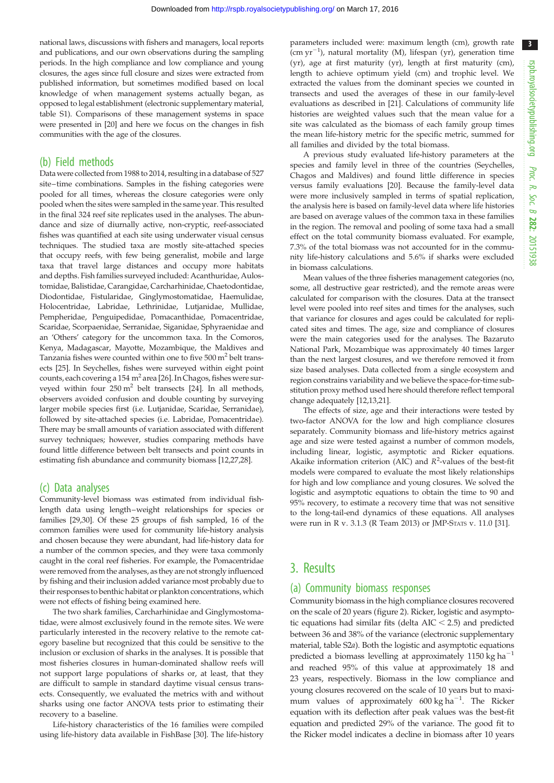3

national laws, discussions with fishers and managers, local reports and publications, and our own observations during the sampling periods. In the high compliance and low compliance and young closures, the ages since full closure and sizes were extracted from published information, but sometimes modified based on local knowledge of when management systems actually began, as opposed to legal establishment (electronic supplementary material, table S1). Comparisons of these management systems in space were presented in [[20](#page-8-0)] and here we focus on the changes in fish communities with the age of the closures.

#### (b) Field methods

Datawere collected from 1988 to 2014, resulting in a database of 527 site– time combinations. Samples in the fishing categories were pooled for all times, whereas the closure categories were only pooled when the sites were sampled in the same year. This resulted in the final 324 reef site replicates used in the analyses. The abundance and size of diurnally active, non-cryptic, reef-associated fishes was quantified at each site using underwater visual census techniques. The studied taxa are mostly site-attached species that occupy reefs, with few being generalist, mobile and large taxa that travel large distances and occupy more habitats and depths. Fish families surveyed included: Acanthuridae, Aulostomidae, Balistidae, Carangidae, Carcharhinidae, Chaetodontidae, Diodontidae, Fistularidae, Ginglymostomatidae, Haemulidae, Holocentridae, Labridae, Lethrinidae, Lutjanidae, Mullidae, Pempheridae, Penguipedidae, Pomacanthidae, Pomacentridae, Scaridae, Scorpaenidae, Serranidae, Siganidae, Sphyraenidae and an 'Others' category for the uncommon taxa. In the Comoros, Kenya, Madagascar, Mayotte, Mozambique, the Maldives and Tanzania fishes were counted within one to five  $500 \text{ m}^2$  belt transects [\[25\]](#page-8-0). In Seychelles, fishes were surveyed within eight point counts, each covering a 154  $m<sup>2</sup>$  area [[26](#page-8-0)]. In Chagos, fishes were surveyed within four  $250 \text{ m}^2$  belt transects [[24](#page-8-0)]. In all methods, observers avoided confusion and double counting by surveying larger mobile species first (i.e. Lutjanidae, Scaridae, Serranidae), followed by site-attached species (i.e. Labridae, Pomacentridae). There may be small amounts of variation associated with different survey techniques; however, studies comparing methods have found little difference between belt transects and point counts in estimating fish abundance and community biomass [\[12,](#page-8-0)[27,28\]](#page-9-0).

## (c) Data analyses

Community-level biomass was estimated from individual fishlength data using length–weight relationships for species or families [[29,30](#page-9-0)]. Of these 25 groups of fish sampled, 16 of the common families were used for community life-history analysis and chosen because they were abundant, had life-history data for a number of the common species, and they were taxa commonly caught in the coral reef fisheries. For example, the Pomacentridae were removed from the analyses, as they are not strongly influenced by fishing and their inclusion added variance most probably due to their responses to benthic habitat or plankton concentrations, which were not effects of fishing being examined here.

The two shark families, Carcharhinidae and Ginglymostomatidae, were almost exclusively found in the remote sites. We were particularly interested in the recovery relative to the remote category baseline but recognized that this could be sensitive to the inclusion or exclusion of sharks in the analyses. It is possible that most fisheries closures in human-dominated shallow reefs will not support large populations of sharks or, at least, that they are difficult to sample in standard daytime visual census transects. Consequently, we evaluated the metrics with and without sharks using one factor ANOVA tests prior to estimating their recovery to a baseline.

Life-history characteristics of the 16 families were compiled using life-history data available in FishBase [[30](#page-9-0)]. The life-history parameters included were: maximum length (cm), growth rate  $(cm yr^{-1})$ , natural mortality (M), lifespan (yr), generation time (yr), age at first maturity (yr), length at first maturity (cm), length to achieve optimum yield (cm) and trophic level. We extracted the values from the dominant species we counted in transects and used the averages of these in our family-level evaluations as described in [[21](#page-8-0)]. Calculations of community life histories are weighted values such that the mean value for a site was calculated as the biomass of each family group times the mean life-history metric for the specific metric, summed for all families and divided by the total biomass.

A previous study evaluated life-history parameters at the species and family level in three of the countries (Seychelles, Chagos and Maldives) and found little difference in species versus family evaluations [\[20\]](#page-8-0). Because the family-level data were more inclusively sampled in terms of spatial replication, the analysis here is based on family-level data where life histories are based on average values of the common taxa in these families in the region. The removal and pooling of some taxa had a small effect on the total community biomass evaluated. For example, 7.3% of the total biomass was not accounted for in the community life-history calculations and 5.6% if sharks were excluded in biomass calculations.

Mean values of the three fisheries management categories (no, some, all destructive gear restricted), and the remote areas were calculated for comparison with the closures. Data at the transect level were pooled into reef sites and times for the analyses, such that variance for closures and ages could be calculated for replicated sites and times. The age, size and compliance of closures were the main categories used for the analyses. The Bazaruto National Park, Mozambique was approximately 40 times larger than the next largest closures, and we therefore removed it from size based analyses. Data collected from a single ecosystem and region constrains variability and we believe the space-for-time substitution proxy method used here should therefore reflect temporal change adequately [[12,13,21](#page-8-0)].

The effects of size, age and their interactions were tested by two-factor ANOVA for the low and high compliance closures separately. Community biomass and life-history metrics against age and size were tested against a number of common models, including linear, logistic, asymptotic and Ricker equations. Akaike information criterion (AIC) and  $R^2$ -values of the best-fit models were compared to evaluate the most likely relationships for high and low compliance and young closures. We solved the logistic and asymptotic equations to obtain the time to 90 and 95% recovery, to estimate a recovery time that was not sensitive to the long-tail-end dynamics of these equations. All analyses were run in R v. 3.1.3 (R Team 2013) or JMP-STATS v. 11.0 [[31](#page-9-0)].

## 3. Results

## (a) Community biomass responses

Community biomass in the high compliance closures recovered on the scale of 20 years ([figure 2](#page-3-0)). Ricker, logistic and asymptotic equations had similar fits (delta  $AIC < 2.5$ ) and predicted between 36 and 38% of the variance (electronic supplementary material, table S2a). Both the logistic and asymptotic equations predicted a biomass levelling at approximately 1150 kg ha<sup>-1</sup> and reached 95% of this value at approximately 18 and 23 years, respectively. Biomass in the low compliance and young closures recovered on the scale of 10 years but to maximum values of approximately  $600 \text{ kg ha}^{-1}$ . The Ricker equation with its deflection after peak values was the best-fit equation and predicted 29% of the variance. The good fit to the Ricker model indicates a decline in biomass after 10 years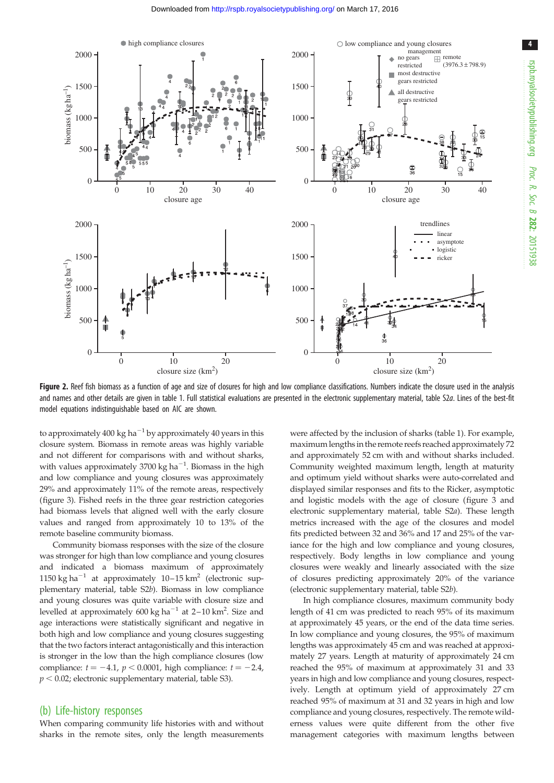<span id="page-3-0"></span>

Figure 2. Reef fish biomass as a function of age and size of closures for high and low compliance classifications. Numbers indicate the closure used in the analysis and names and other details are given in [table 1](#page-4-0). Full statistical evaluations are presented in the electronic supplementary material, table S2a. Lines of the best-fit model equations indistinguishable based on AIC are shown.

to approximately 400 kg ha<sup> $-1$ </sup> by approximately 40 years in this closure system. Biomass in remote areas was highly variable and not different for comparisons with and without sharks, with values approximately 3700 kg ha $^{-1}$ . Biomass in the high and low compliance and young closures was approximately 29% and approximately 11% of the remote areas, respectively [\(figure 3](#page-5-0)). Fished reefs in the three gear restriction categories had biomass levels that aligned well with the early closure values and ranged from approximately 10 to 13% of the remote baseline community biomass.

Community biomass responses with the size of the closure was stronger for high than low compliance and young closures and indicated a biomass maximum of approximately 1150 kg ha<sup>-1</sup> at approximately 10–15 km<sup>2</sup> (electronic supplementary material, table S2b). Biomass in low compliance and young closures was quite variable with closure size and levelled at approximately 600 kg ha<sup>-1</sup> at 2-10 km<sup>2</sup>. Size and age interactions were statistically significant and negative in both high and low compliance and young closures suggesting that the two factors interact antagonistically and this interaction is stronger in the low than the high compliance closures (low compliance:  $t = -4.1$ ,  $p < 0.0001$ , high compliance:  $t = -2.4$ ,  $p < 0.02$ ; electronic supplementary material, table S3).

#### (b) Life-history responses

When comparing community life histories with and without sharks in the remote sites, only the length measurements were affected by the inclusion of sharks ([table 1](#page-4-0)). For example, maximum lengths in the remote reefs reached approximately 72 and approximately 52 cm with and without sharks included. Community weighted maximum length, length at maturity and optimum yield without sharks were auto-correlated and displayed similar responses and fits to the Ricker, asymptotic and logistic models with the age of closure ([figure 3](#page-5-0) and electronic supplementary material, table S2a). These length metrics increased with the age of the closures and model fits predicted between 32 and 36% and 17 and 25% of the variance for the high and low compliance and young closures, respectively. Body lengths in low compliance and young closures were weakly and linearly associated with the size of closures predicting approximately 20% of the variance (electronic supplementary material, table S2b).

In high compliance closures, maximum community body length of 41 cm was predicted to reach 95% of its maximum at approximately 45 years, or the end of the data time series. In low compliance and young closures, the 95% of maximum lengths was approximately 45 cm and was reached at approximately 27 years. Length at maturity of approximately 24 cm reached the 95% of maximum at approximately 31 and 33 years in high and low compliance and young closures, respectively. Length at optimum yield of approximately 27 cm reached 95% of maximum at 31 and 32 years in high and low compliance and young closures, respectively. The remote wilderness values were quite different from the other five management categories with maximum lengths between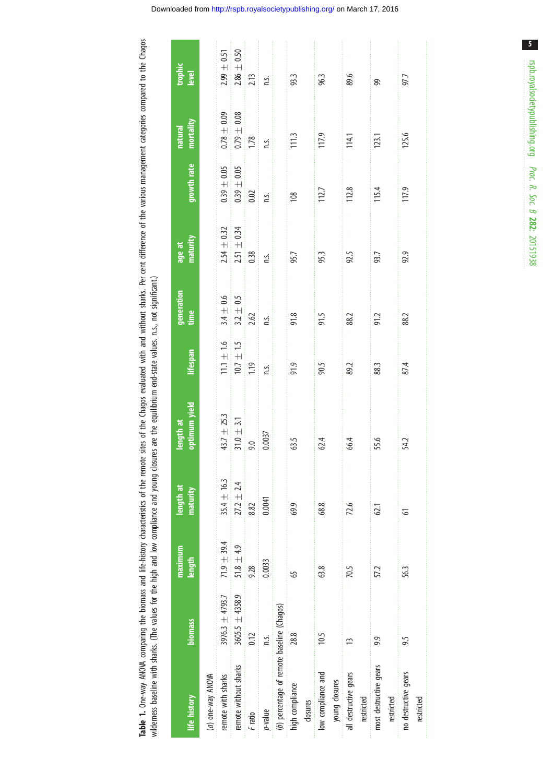<span id="page-4-0"></span>Table 1. One-way ANOVA comparing the biomass and life-history characteristics of the remote sites of the Chagos evaluated with and without sharks. Per cent difference of the various management categories compared to the Ch Table 1. One-way ANOVA comparing the biomass and life-history characteristics of the remote sites of the Chagos evaluated with and without sharks. Per cent difference of the various management categories compared to the Ch wilderness baseline with sharks. (The values for the high and low compliance and young closures are the equilibrium end-state values. n.s., not significant.) wilderness baseline with sharks. (The values for the high and low compliance and young closures are the equilibrium end-state values. n.s., not significant.)

| <u>life history</u>                        | <b>biomass</b>      | maximum<br>length | length at<br>maturity                        | optimum yiel<br>length at | lifespan                                         | generation<br>time | maturity<br>age at                                 | growth rate                              | mortality<br>natural               | <b>Septem</b><br>level                               |
|--------------------------------------------|---------------------|-------------------|----------------------------------------------|---------------------------|--------------------------------------------------|--------------------|----------------------------------------------------|------------------------------------------|------------------------------------|------------------------------------------------------|
| (a) one-way ANOVA                          |                     |                   |                                              |                           |                                                  |                    |                                                    |                                          |                                    |                                                      |
| remote with sharks                         | 3976.3 ± 4793.7     | $71.9 \pm 39.4$   |                                              | 43.7 $\pm$ 25.3           |                                                  | $3.4 \pm 0.6$      |                                                    |                                          |                                    |                                                      |
| remote without sharks                      | 3605.5 $\pm$ 4358.9 | 51.8 $\pm$ 4.9    | $\frac{35.4 \pm 16.3}{27.2 \pm 2.4}$<br>8.82 | $31.0 \pm 3.1$            |                                                  | $3.2 \pm 0.5$      |                                                    |                                          | $0.78 \pm 0.09$<br>$0.79 \pm 0.08$ |                                                      |
| F ratio                                    | 0.12                | 9.28              |                                              | 9.0                       |                                                  | 2.62               |                                                    | $0.39 + 0.05$<br>$0.39 + 0.05$<br>$0.02$ | $\frac{178}{2}$                    |                                                      |
| p-value                                    | n.S.                | 0.0033            | 0.0041                                       | 0.0037                    | 11.1 $\pm$ 1.6<br>10.7 $\pm$ 1.5<br>1.19<br>1.19 | $\sum_{i=1}^{n}$   | $2.54 \pm 0.32$<br>$2.51 \pm 0.34$<br>0.38<br>0.38 | $\frac{1}{2}$                            | $\lfloor 2 \rfloor$                | $2.99 \pm 0.51$<br>$2.86 \pm 0.50$<br>$2.13$<br>n.s. |
| (b) percentage of remote baseline (Chagos) |                     |                   |                                              |                           |                                                  |                    |                                                    |                                          |                                    |                                                      |
| high compliance                            | 28.8                | 65                | 69.9                                         | 63.5                      | 91.9                                             | 91.8               | 95.7                                               | 108                                      | $\frac{1}{113}$                    | 93.3                                                 |
| dosures                                    |                     |                   |                                              |                           |                                                  |                    |                                                    |                                          |                                    |                                                      |
| low compliance and                         | 10.5                | 63.8              | 68.8                                         | 62.4                      | 90.5                                             | 91.5               | 95.3                                               | $\frac{127}{112}$                        | 117.9                              | 96.3                                                 |
| young closures                             |                     |                   |                                              |                           |                                                  |                    |                                                    |                                          | $\frac{1}{14}$                     |                                                      |
| all destructive gears                      | $\tilde{1}$         | 70.5              | 72.6                                         | 66.4                      | 89.2                                             | 88.2               | 92.5                                               | 112.8                                    |                                    | 89.6                                                 |
| restricted                                 |                     |                   |                                              |                           |                                                  |                    |                                                    |                                          |                                    |                                                      |
| most destructive gears                     | 9.9                 | 57.2              | 62.1                                         | 55.6                      | 88.3                                             | 91.2               | 93.7                                               | 115.4                                    | $\frac{1}{2}$                      | 99                                                   |
| restricted                                 |                     |                   |                                              |                           |                                                  |                    |                                                    |                                          |                                    |                                                      |
| no destructive gears                       | 9.5                 | 56.3              | 67                                           | 54.2                      | 87.4                                             | 88.2               | 92.9                                               | 117.9                                    | 125.6                              | 97.7                                                 |
| restricted                                 |                     |                   |                                              |                           |                                                  |                    |                                                    |                                          |                                    |                                                      |

#### Downloaded from<http://rspb.royalsocietypublishing.org/>on March 17, 2016

 $\overline{\phantom{a}}$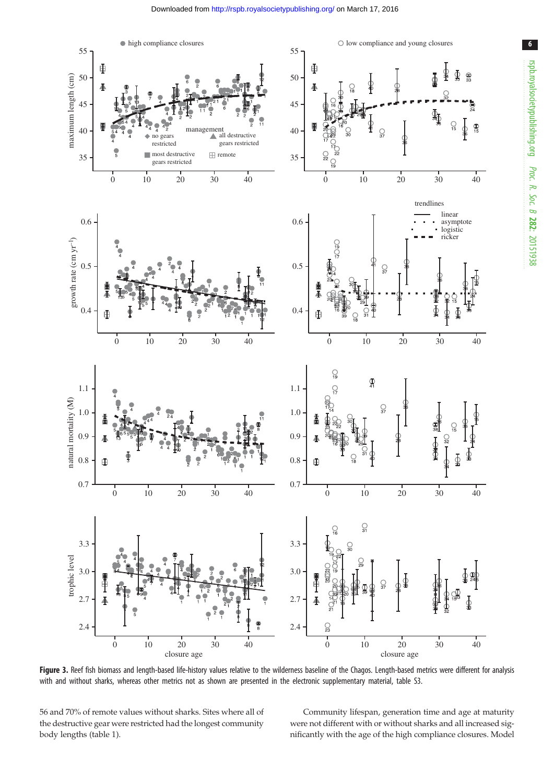<span id="page-5-0"></span>

Figure 3. Reef fish biomass and length-based life-history values relative to the wilderness baseline of the Chagos. Length-based metrics were different for analysis with and without sharks, whereas other metrics not as shown are presented in the electronic supplementary material, table S3.

56 and 70% of remote values without sharks. Sites where all of the destructive gear were restricted had the longest community body lengths ([table 1\)](#page-4-0).

Community lifespan, generation time and age at maturity were not different with or without sharks and all increased significantly with the age of the high compliance closures. Model 6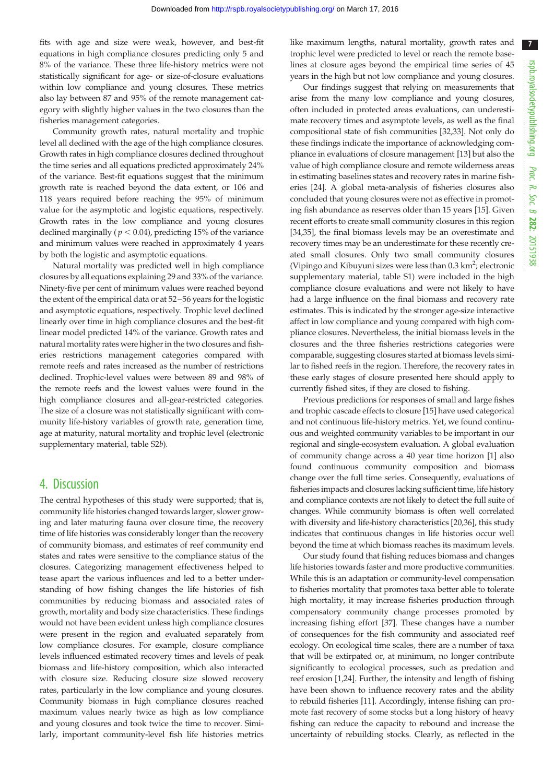fits with age and size were weak, however, and best-fit equations in high compliance closures predicting only 5 and 8% of the variance. These three life-history metrics were not statistically significant for age- or size-of-closure evaluations within low compliance and young closures. These metrics also lay between 87 and 95% of the remote management category with slightly higher values in the two closures than the fisheries management categories.

Community growth rates, natural mortality and trophic level all declined with the age of the high compliance closures. Growth rates in high compliance closures declined throughout the time series and all equations predicted approximately 24% of the variance. Best-fit equations suggest that the minimum growth rate is reached beyond the data extent, or 106 and 118 years required before reaching the 95% of minimum value for the asymptotic and logistic equations, respectively. Growth rates in the low compliance and young closures declined marginally ( $p < 0.04$ ), predicting 15% of the variance and minimum values were reached in approximately 4 years by both the logistic and asymptotic equations.

Natural mortality was predicted well in high compliance closures by all equations explaining 29 and 33% of the variance. Ninety-five per cent of minimum values were reached beyond the extent of the empirical data or at 52–56 years for the logistic and asymptotic equations, respectively. Trophic level declined linearly over time in high compliance closures and the best-fit linear model predicted 14% of the variance. Growth rates and natural mortality rates were higher in the two closures and fisheries restrictions management categories compared with remote reefs and rates increased as the number of restrictions declined. Trophic-level values were between 89 and 98% of the remote reefs and the lowest values were found in the high compliance closures and all-gear-restricted categories. The size of a closure was not statistically significant with community life-history variables of growth rate, generation time, age at maturity, natural mortality and trophic level (electronic supplementary material, table S2b).

## 4. Discussion

The central hypotheses of this study were supported; that is, community life histories changed towards larger, slower growing and later maturing fauna over closure time, the recovery time of life histories was considerably longer than the recovery of community biomass, and estimates of reef community end states and rates were sensitive to the compliance status of the closures. Categorizing management effectiveness helped to tease apart the various influences and led to a better understanding of how fishing changes the life histories of fish communities by reducing biomass and associated rates of growth, mortality and body size characteristics. These findings would not have been evident unless high compliance closures were present in the region and evaluated separately from low compliance closures. For example, closure compliance levels influenced estimated recovery times and levels of peak biomass and life-history composition, which also interacted with closure size. Reducing closure size slowed recovery rates, particularly in the low compliance and young closures. Community biomass in high compliance closures reached maximum values nearly twice as high as low compliance and young closures and took twice the time to recover. Similarly, important community-level fish life histories metrics

like maximum lengths, natural mortality, growth rates and trophic level were predicted to level or reach the remote baselines at closure ages beyond the empirical time series of 45 years in the high but not low compliance and young closures.

Our findings suggest that relying on measurements that arise from the many low compliance and young closures, often included in protected areas evaluations, can underestimate recovery times and asymptote levels, as well as the final compositional state of fish communities [[32](#page-9-0),[33\]](#page-9-0). Not only do these findings indicate the importance of acknowledging compliance in evaluations of closure management [\[13](#page-8-0)] but also the value of high compliance closure and remote wilderness areas in estimating baselines states and recovery rates in marine fisheries [\[24](#page-8-0)]. A global meta-analysis of fisheries closures also concluded that young closures were not as effective in promoting fish abundance as reserves older than 15 years [[15\]](#page-8-0). Given recent efforts to create small community closures in this region [[34,35\]](#page-9-0), the final biomass levels may be an overestimate and recovery times may be an underestimate for these recently created small closures. Only two small community closures (Vipingo and Kibuyuni sizes were less than 0.3 km<sup>2</sup>; electronic supplementary material, table S1) were included in the high compliance closure evaluations and were not likely to have had a large influence on the final biomass and recovery rate estimates. This is indicated by the stronger age-size interactive affect in low compliance and young compared with high compliance closures. Nevertheless, the initial biomass levels in the closures and the three fisheries restrictions categories were comparable, suggesting closures started at biomass levels similar to fished reefs in the region. Therefore, the recovery rates in these early stages of closure presented here should apply to currently fished sites, if they are closed to fishing.

Previous predictions for responses of small and large fishes and trophic cascade effects to closure [\[15](#page-8-0)] have used categorical and not continuous life-history metrics. Yet, we found continuous and weighted community variables to be important in our regional and single-ecosystem evaluation. A global evaluation of community change across a 40 year time horizon [[1](#page-8-0)] also found continuous community composition and biomass change over the full time series. Consequently, evaluations of fisheries impacts and closures lacking sufficient time, life history and compliance contexts are not likely to detect the full suite of changes. While community biomass is often well correlated with diversity and life-history characteristics [[20](#page-8-0),[36](#page-9-0)], this study indicates that continuous changes in life histories occur well beyond the time at which biomass reaches its maximum levels.

Our study found that fishing reduces biomass and changes life histories towards faster and more productive communities. While this is an adaptation or community-level compensation to fisheries mortality that promotes taxa better able to tolerate high mortality, it may increase fisheries production through compensatory community change processes promoted by increasing fishing effort [\[37](#page-9-0)]. These changes have a number of consequences for the fish community and associated reef ecology. On ecological time scales, there are a number of taxa that will be extirpated or, at minimum, no longer contribute significantly to ecological processes, such as predation and reef erosion [[1,24](#page-8-0)]. Further, the intensity and length of fishing have been shown to influence recovery rates and the ability to rebuild fisheries [[11\]](#page-8-0). Accordingly, intense fishing can promote fast recovery of some stocks but a long history of heavy fishing can reduce the capacity to rebound and increase the uncertainty of rebuilding stocks. Clearly, as reflected in the

7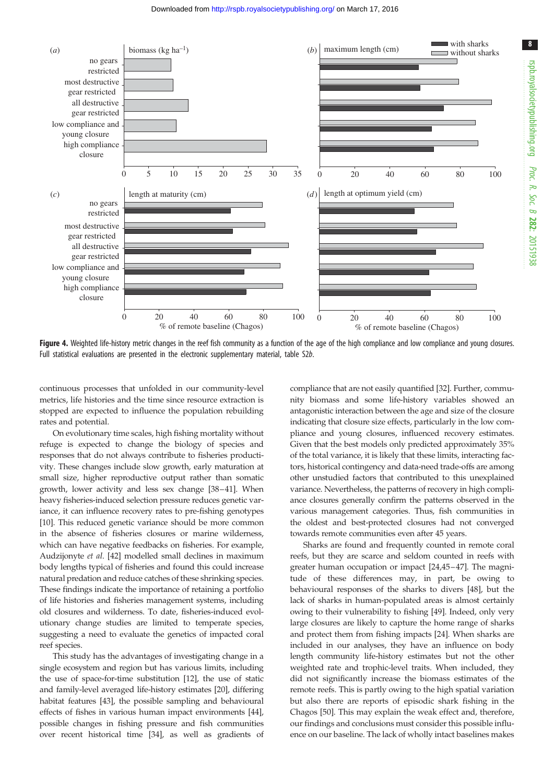<span id="page-7-0"></span>

Figure 4. Weighted life-history metric changes in the reef fish community as a function of the age of the high compliance and low compliance and young closures. Full statistical evaluations are presented in the electronic supplementary material, table S2b.

continuous processes that unfolded in our community-level metrics, life histories and the time since resource extraction is stopped are expected to influence the population rebuilding rates and potential.

On evolutionary time scales, high fishing mortality without refuge is expected to change the biology of species and responses that do not always contribute to fisheries productivity. These changes include slow growth, early maturation at small size, higher reproductive output rather than somatic growth, lower activity and less sex change [[38](#page-9-0)–[41](#page-9-0)]. When heavy fisheries-induced selection pressure reduces genetic variance, it can influence recovery rates to pre-fishing genotypes [\[10](#page-8-0)]. This reduced genetic variance should be more common in the absence of fisheries closures or marine wilderness, which can have negative feedbacks on fisheries. For example, Audzijonyte et al. [\[42](#page-9-0)] modelled small declines in maximum body lengths typical of fisheries and found this could increase natural predation and reduce catches of these shrinking species. These findings indicate the importance of retaining a portfolio of life histories and fisheries management systems, including old closures and wilderness. To date, fisheries-induced evolutionary change studies are limited to temperate species, suggesting a need to evaluate the genetics of impacted coral reef species.

This study has the advantages of investigating change in a single ecosystem and region but has various limits, including the use of space-for-time substitution [\[12\]](#page-8-0), the use of static and family-level averaged life-history estimates [\[20\]](#page-8-0), differing habitat features [\[43\]](#page-9-0), the possible sampling and behavioural effects of fishes in various human impact environments [[44](#page-9-0)], possible changes in fishing pressure and fish communities over recent historical time [[34](#page-9-0)], as well as gradients of

compliance that are not easily quantified [[32\]](#page-9-0). Further, community biomass and some life-history variables showed an antagonistic interaction between the age and size of the closure indicating that closure size effects, particularly in the low compliance and young closures, influenced recovery estimates. Given that the best models only predicted approximately 35% of the total variance, it is likely that these limits, interacting factors, historical contingency and data-need trade-offs are among other unstudied factors that contributed to this unexplained variance. Nevertheless, the patterns of recovery in high compliance closures generally confirm the patterns observed in the various management categories. Thus, fish communities in the oldest and best-protected closures had not converged towards remote communities even after 45 years.

Sharks are found and frequently counted in remote coral reefs, but they are scarce and seldom counted in reefs with greater human occupation or impact [[24,](#page-8-0)[45](#page-9-0)–[47](#page-9-0)]. The magnitude of these differences may, in part, be owing to behavioural responses of the sharks to divers [\[48](#page-9-0)], but the lack of sharks in human-populated areas is almost certainly owing to their vulnerability to fishing [\[49](#page-9-0)]. Indeed, only very large closures are likely to capture the home range of sharks and protect them from fishing impacts [[24\]](#page-8-0). When sharks are included in our analyses, they have an influence on body length community life-history estimates but not the other weighted rate and trophic-level traits. When included, they did not significantly increase the biomass estimates of the remote reefs. This is partly owing to the high spatial variation but also there are reports of episodic shark fishing in the Chagos [[50\]](#page-9-0). This may explain the weak effect and, therefore, our findings and conclusions must consider this possible influence on our baseline. The lack of wholly intact baselines makes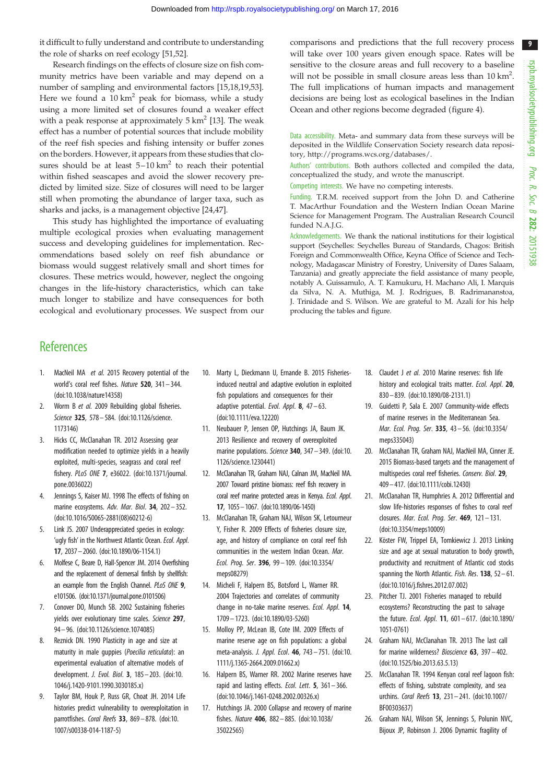9

<span id="page-8-0"></span>it difficult to fully understand and contribute to understanding the role of sharks on reef ecology [\[51,52](#page-9-0)].

Research findings on the effects of closure size on fish community metrics have been variable and may depend on a number of sampling and environmental factors [15,18,19[,53](#page-9-0)]. Here we found a  $10 \text{ km}^2$  peak for biomass, while a study using a more limited set of closures found a weaker effect with a peak response at approximately  $5 \text{ km}^2$  [13]. The weak effect has a number of potential sources that include mobility of the reef fish species and fishing intensity or buffer zones on the borders. However, it appears from these studies that closures should be at least  $5-10 \text{ km}^2$  to reach their potential within fished seascapes and avoid the slower recovery predicted by limited size. Size of closures will need to be larger still when promoting the abundance of larger taxa, such as sharks and jacks, is a management objective [24[,47](#page-9-0)].

This study has highlighted the importance of evaluating multiple ecological proxies when evaluating management success and developing guidelines for implementation. Recommendations based solely on reef fish abundance or biomass would suggest relatively small and short times for closures. These metrics would, however, neglect the ongoing changes in the life-history characteristics, which can take much longer to stabilize and have consequences for both ecological and evolutionary processes. We suspect from our comparisons and predictions that the full recovery process will take over 100 years given enough space. Rates will be sensitive to the closure areas and full recovery to a baseline will not be possible in small closure areas less than 10 km<sup>2</sup>. The full implications of human impacts and management decisions are being lost as ecological baselines in the Indian Ocean and other regions become degraded [\(figure 4\)](#page-7-0).

Data accessibility. Meta- and summary data from these surveys will be deposited in the Wildlife Conservation Society research data repository,<http://programs.wcs.org/databases/>.

Authors' contributions. Both authors collected and compiled the data, conceptualized the study, and wrote the manuscript.

Competing interests. We have no competing interests.

Funding. T.R.M. received support from the John D. and Catherine T. MacArthur Foundation and the Western Indian Ocean Marine Science for Management Program. The Australian Research Council funded N.A.J.G.

Acknowledgements. We thank the national institutions for their logistical support (Seychelles: Seychelles Bureau of Standards, Chagos: British Foreign and Commonwealth Office, Keyna Office of Science and Technology, Madagascar Ministry of Forestry, University of Dares Salaam, Tanzania) and greatly appreciate the field assistance of many people, notably A. Guissamulo, A. T. Kamukuru, H. Machano Ali, I. Marquis da Silva, N. A. Muthiga, M. J. Rodrigues, B. Radrimananstoa, J. Trinidade and S. Wilson. We are grateful to M. Azali for his help producing the tables and figure.

## References

- 1. MacNeil MA et al. 2015 Recovery potential of the world's coral reef fishes. Nature 520, 341– 344. [\(doi:10.1038/nature14358](http://dx.doi.org/10.1038/nature14358))
- 2. Worm B et al. 2009 Rebuilding global fisheries. Science 325, 578-584. ([doi:10.1126/science.](http://dx.doi.org/10.1126/science.1173146) [1173146\)](http://dx.doi.org/10.1126/science.1173146)
- 3. Hicks CC, McClanahan TR. 2012 Assessing gear modification needed to optimize yields in a heavily exploited, multi-species, seagrass and coral reef fishery. PLoS ONE 7, e36022. ([doi:10.1371/journal.](http://dx.doi.org/10.1371/journal.pone.0036022) [pone.0036022](http://dx.doi.org/10.1371/journal.pone.0036022))
- 4. Jennings S, Kaiser MJ. 1998 The effects of fishing on marine ecosystems. Adv. Mar. Biol. 34, 202-352. [\(doi:10.1016/S0065-2881\(08\)60212-6](http://dx.doi.org/10.1016/S0065-2881(08)60212-6))
- 5. Link JS. 2007 Underappreciated species in ecology: 'ugly fish' in the Northwest Atlantic Ocean. Ecol. Appl. 17, 2037–2060. ([doi:10.1890/06-1154.1](http://dx.doi.org/10.1890/06-1154.1))
- 6. Molfese C, Beare D, Hall-Spencer JM. 2014 Overfishing and the replacement of demersal finfish by shellfish: an example from the English Channel. PLoS ONE 9, e101506. [\(doi:10.1371/journal.pone.0101506\)](http://dx.doi.org/10.1371/journal.pone.0101506)
- 7. Conover DO, Munch SB. 2002 Sustaining fisheries yields over evolutionary time scales. Science 297, 94 – 96. ([doi:10.1126/science.1074085\)](http://dx.doi.org/10.1126/science.1074085)
- 8. Reznick DN. 1990 Plasticity in age and size at maturity in male guppies (Poecilia reticulata): an experimental evaluation of alternative models of development. J. Evol. Biol. 3, 185– 203. ([doi:10.](http://dx.doi.org/10.1046/j.1420-9101.1990.3030185.x) [1046/j.1420-9101.1990.3030185.x](http://dx.doi.org/10.1046/j.1420-9101.1990.3030185.x))
- 9. Taylor BM, Houk P, Russ GR, Choat JH. 2014 Life histories predict vulnerability to overexploitation in parrotfishes. Coral Reefs 33, 869-878. [\(doi:10.](http://dx.doi.org/10.1007/s00338-014-1187-5) [1007/s00338-014-1187-5\)](http://dx.doi.org/10.1007/s00338-014-1187-5)
- 10. Marty L, Dieckmann U, Ernande B. 2015 Fisheriesinduced neutral and adaptive evolution in exploited fish populations and consequences for their adaptive potential. Evol. Appl.  $8, 47-63$ . [\(doi:10.1111/eva.12220\)](http://dx.doi.org/10.1111/eva.12220)
- 11. Neubauer P, Jensen OP, Hutchings JA, Baum JK. 2013 Resilience and recovery of overexploited marine populations. Science 340, 347 - 349. [\(doi:10.](http://dx.doi.org/10.1126/science.1230441) [1126/science.1230441](http://dx.doi.org/10.1126/science.1230441))
- 12. McClanahan TR, Graham NAJ, Calnan JM, MacNeil MA. 2007 Toward pristine biomass: reef fish recovery in coral reef marine protected areas in Kenya. Ecol. Appl. 17, 1055–1067. [\(doi:10.1890/06-1450\)](http://dx.doi.org/10.1890/06-1450)
- 13. McClanahan TR, Graham NAJ, Wilson SK, Letourneur Y, Fisher R. 2009 Effects of fisheries closure size, age, and history of compliance on coral reef fish communities in the western Indian Ocean. Mar. Ecol. Prog. Ser. 396, 99 – 109. ([doi:10.3354/](http://dx.doi.org/10.3354/meps08279) [meps08279\)](http://dx.doi.org/10.3354/meps08279)
- 14. Micheli F, Halpern BS, Botsford L, Warner RR. 2004 Trajectories and correlates of community change in no-take marine reserves. Ecol. Appl. 14, 1709– 1723. [\(doi:10.1890/03-5260](http://dx.doi.org/10.1890/03-5260))
- 15. Molloy PP, McLean IB, Cote IM. 2009 Effects of marine reserve age on fish populations: a global meta-analysis. J. Appl. Ecol. 46, 743 – 751. [\(doi:10.](http://dx.doi.org/10.1111/j.1365-2664.2009.01662.x) [1111/j.1365-2664.2009.01662.x](http://dx.doi.org/10.1111/j.1365-2664.2009.01662.x))
- 16. Halpern BS, Warner RR. 2002 Marine reserves have rapid and lasting effects. Ecol. Lett. 5, 361-366. [\(doi:10.1046/j.1461-0248.2002.00326.x\)](http://dx.doi.org/10.1046/j.1461-0248.2002.00326.x)
- 17. Hutchings JA. 2000 Collapse and recovery of marine fishes. Nature 406, 882 – 885. [\(doi:10.1038/](http://dx.doi.org/10.1038/35022565) [35022565\)](http://dx.doi.org/10.1038/35022565)
- 18. Claudet J et al. 2010 Marine reserves: fish life history and ecological traits matter. Ecol. Appl. 20, 830– 839. [\(doi:10.1890/08-2131.1](http://dx.doi.org/10.1890/08-2131.1))
- 19. Guidetti P, Sala E. 2007 Community-wide effects of marine reserves in the Mediterranean Sea. Mar. Ecol. Prog. Ser. 335, 43 – 56. ([doi:10.3354/](http://dx.doi.org/10.3354/meps335043) [meps335043\)](http://dx.doi.org/10.3354/meps335043)
- 20. McClanahan TR, Graham NAJ, MacNeil MA, Cinner JE. 2015 Biomass-based targets and the management of multispecies coral reef fisheries. Conserv. Biol. 29, 409–417. [\(doi:10.1111/cobi.12430\)](http://dx.doi.org/10.1111/cobi.12430)
- 21. McClanahan TR, Humphries A. 2012 Differential and slow life-histories responses of fishes to coral reef closures. Mar. Ecol. Prog. Ser. 469, 121– 131. ([doi:10.3354/meps10009](http://dx.doi.org/10.3354/meps10009))
- 22. Köster FW, Trippel EA, Tomkiewicz J. 2013 Linking size and age at sexual maturation to body growth, productivity and recruitment of Atlantic cod stocks spanning the North Atlantic. Fish. Res. 138, 52-61. ([doi:10.1016/j.fishres.2012.07.002\)](http://dx.doi.org/10.1016/j.fishres.2012.07.002)
- 23. Pitcher TJ. 2001 Fisheries managed to rebuild ecosystems? Reconstructing the past to salvage the future. Ecol. Appl. 11, 601– 617. [\(doi:10.1890/](http://dx.doi.org/10.1890/1051-0761) [1051-0761](http://dx.doi.org/10.1890/1051-0761))
- 24. Graham NAJ, McClanahan TR. 2013 The last call for marine wilderness? Bioscience 63, 397– 402. ([doi:10.1525/bio.2013.63.5.13](http://dx.doi.org/10.1525/bio.2013.63.5.13))
- 25. McClanahan TR. 1994 Kenyan coral reef lagoon fish: effects of fishing, substrate complexity, and sea urchins. Coral Reefs 13, 231– 241. ([doi:10.1007/](http://dx.doi.org/10.1007/BF00303637) [BF00303637](http://dx.doi.org/10.1007/BF00303637))
- 26. Graham NAJ, Wilson SK, Jennings S, Polunin NVC, Bijoux JP, Robinson J. 2006 Dynamic fragility of